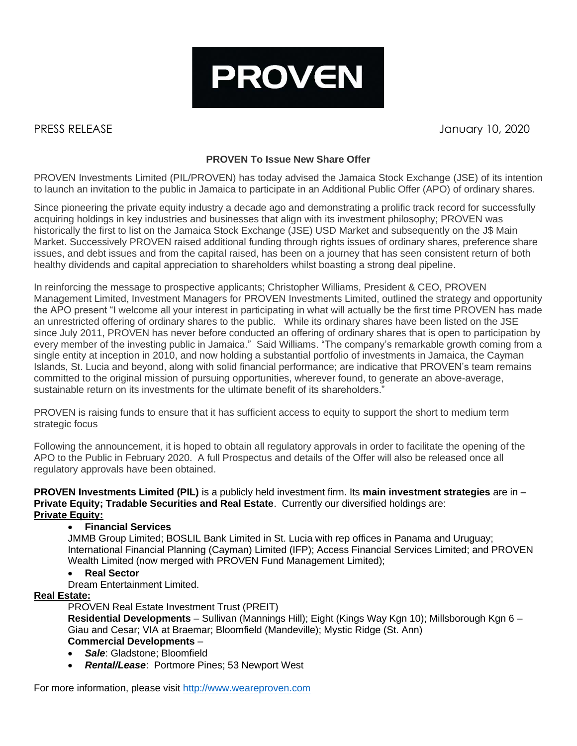

PRESS RELEASE January 10, 2020

# **PROVEN To Issue New Share Offer**

PROVEN Investments Limited (PIL/PROVEN) has today advised the Jamaica Stock Exchange (JSE) of its intention to launch an invitation to the public in Jamaica to participate in an Additional Public Offer (APO) of ordinary shares.

Since pioneering the private equity industry a decade ago and demonstrating a prolific track record for successfully acquiring holdings in key industries and businesses that align with its investment philosophy; PROVEN was historically the first to list on the Jamaica Stock Exchange (JSE) USD Market and subsequently on the J\$ Main Market. Successively PROVEN raised additional funding through rights issues of ordinary shares, preference share issues, and debt issues and from the capital raised, has been on a journey that has seen consistent return of both healthy dividends and capital appreciation to shareholders whilst boasting a strong deal pipeline.

In reinforcing the message to prospective applicants; Christopher Williams, President & CEO, PROVEN Management Limited, Investment Managers for PROVEN Investments Limited, outlined the strategy and opportunity the APO present "I welcome all your interest in participating in what will actually be the first time PROVEN has made an unrestricted offering of ordinary shares to the public. While its ordinary shares have been listed on the JSE since July 2011, PROVEN has never before conducted an offering of ordinary shares that is open to participation by every member of the investing public in Jamaica." Said Williams. "The company's remarkable growth coming from a single entity at inception in 2010, and now holding a substantial portfolio of investments in Jamaica, the Cayman Islands, St. Lucia and beyond, along with solid financial performance; are indicative that PROVEN's team remains committed to the original mission of pursuing opportunities, wherever found, to generate an above-average, sustainable return on its investments for the ultimate benefit of its shareholders."

PROVEN is raising funds to ensure that it has sufficient access to equity to support the short to medium term strategic focus

Following the announcement, it is hoped to obtain all regulatory approvals in order to facilitate the opening of the APO to the Public in February 2020. A full Prospectus and details of the Offer will also be released once all regulatory approvals have been obtained.

**PROVEN Investments Limited (PIL)** is a publicly held investment firm. Its **main investment strategies** are in – **Private Equity; Tradable Securities and Real Estate**. Currently our diversified holdings are: **Private Equity:**

## • **Financial Services**

JMMB Group Limited; BOSLIL Bank Limited in St. Lucia with rep offices in Panama and Uruguay; International Financial Planning (Cayman) Limited (IFP); Access Financial Services Limited; and PROVEN Wealth Limited (now merged with PROVEN Fund Management Limited);

## • **Real Sector**

Dream Entertainment Limited.

## **Real Estate:**

PROVEN Real Estate Investment Trust (PREIT)

**Residential Developments** – Sullivan (Mannings Hill); Eight (Kings Way Kgn 10); Millsborough Kgn 6 – Giau and Cesar; VIA at Braemar; Bloomfield (Mandeville); Mystic Ridge (St. Ann) **Commercial Developments** –

- *Sale*: Gladstone; Bloomfield
- *Rental/Lease*: Portmore Pines; 53 Newport West

For more information, please visit [http://www.weareproven.com](http://www.weareproven.com/)